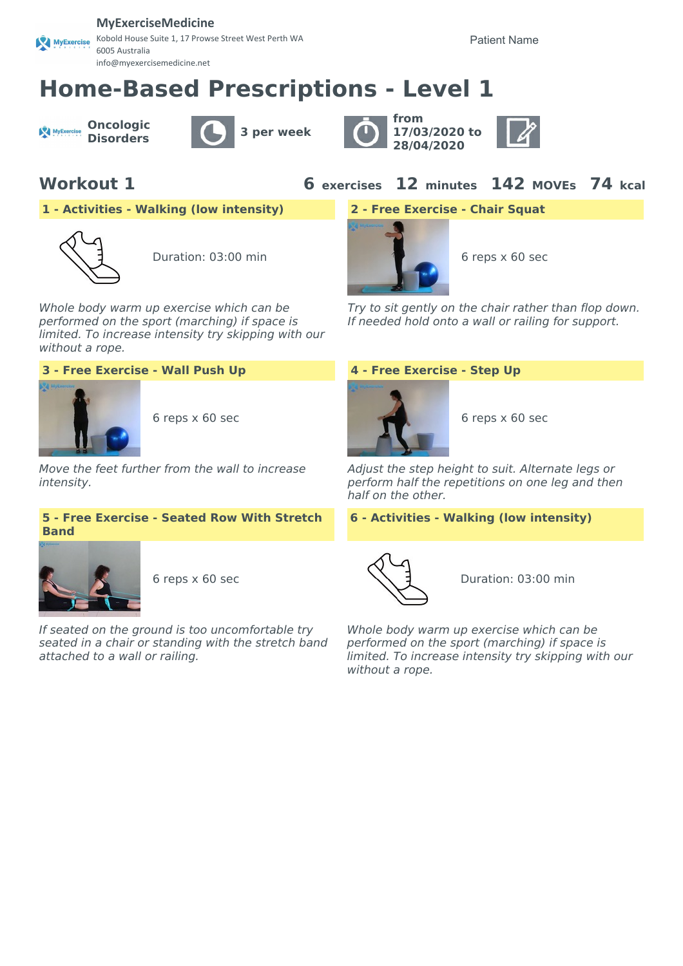### **MyExerciseMedicine**

Kobold House Suite 1, 17 Prowse Street West Perth WA MyExercise 6005 Australia info@myexercisemedicine.net

Patient Name

# **Home-Based Prescriptions - Level 1**

**Oncologic** MyExercise







**Workout 1 6 exercises 12 minutes 142 MOVEs 74 kcal**

**1 - Activities - Walking (low intensity) 2 - Free Exercise - Chair Squat**



Duration: 03:00 min 6 reps x 60 sec

Whole body warm up exercise which can be performed on the sport (marching) if space is limited. To increase intensity try skipping with our without a rope.





Move the feet further from the wall to increase intensity.

## **5 - Free Exercise - Seated Row With Stretch Band**



If seated on the ground is too uncomfortable try seated in a chair or standing with the stretch band attached to a wall or railing.



Try to sit gently on the chair rather than flop down. If needed hold onto a wall or railing for support.



Adjust the step height to suit. Alternate legs or perform half the repetitions on one leg and then half on the other.

### **6 - Activities - Walking (low intensity)**



6 reps x 60 sec  $\setminus$  denotes  $\setminus$  denotes Duration: 03:00 min

Whole body warm up exercise which can be performed on the sport (marching) if space is limited. To increase intensity try skipping with our without a rope.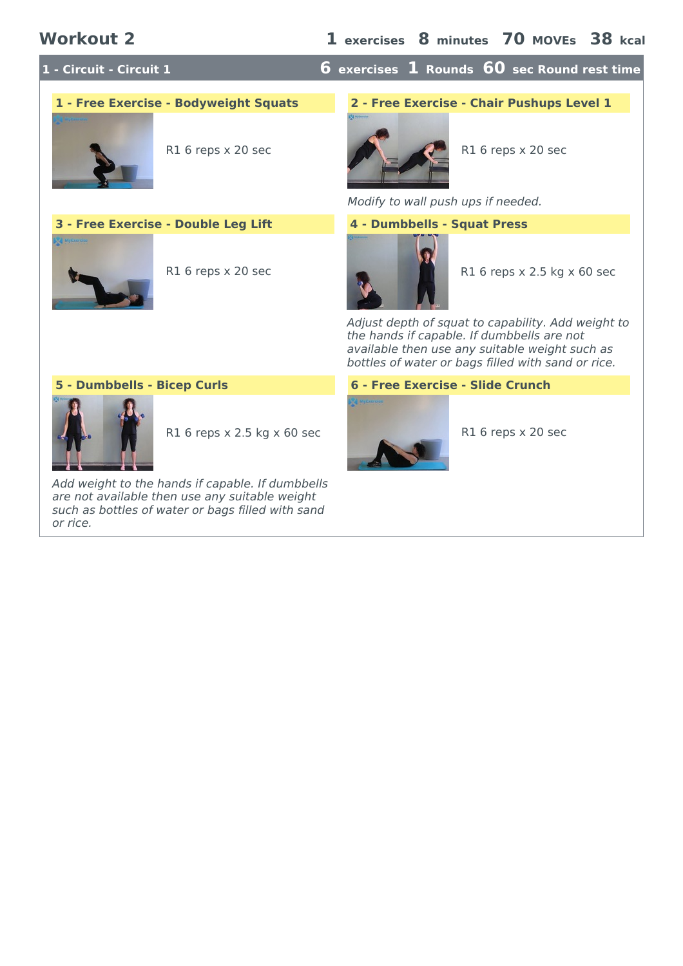**1 - Circuit - Circuit 1 6 exercises 1 Rounds 60 sec Round rest time**



**3 - Free Exercise - Double Leg Lift 4 - Dumbbells - Squat Press**



# **1 - Free Exercise - Bodyweight Squats 2 - Free Exercise - Chair Pushups Level 1**



Modify to wall push ups if needed.



R1 6 reps x 20 sec R1 6 reps x 2.5 kg x 60 sec

Adjust depth of squat to capability. Add weight to the hands if capable. If dumbbells are not available then use any suitable weight such as bottles of water or bags filled with sand or rice.



R1 6 reps x 2.5 kg x 60 sec R1 6 reps x 20 sec

Add weight to the hands if capable. If dumbbells are not available then use any suitable weight such as bottles of water or bags filled with sand or rice.

### **5 - Dumbbells - Bicep Curls 6 - Free Exercise - Slide Crunch**